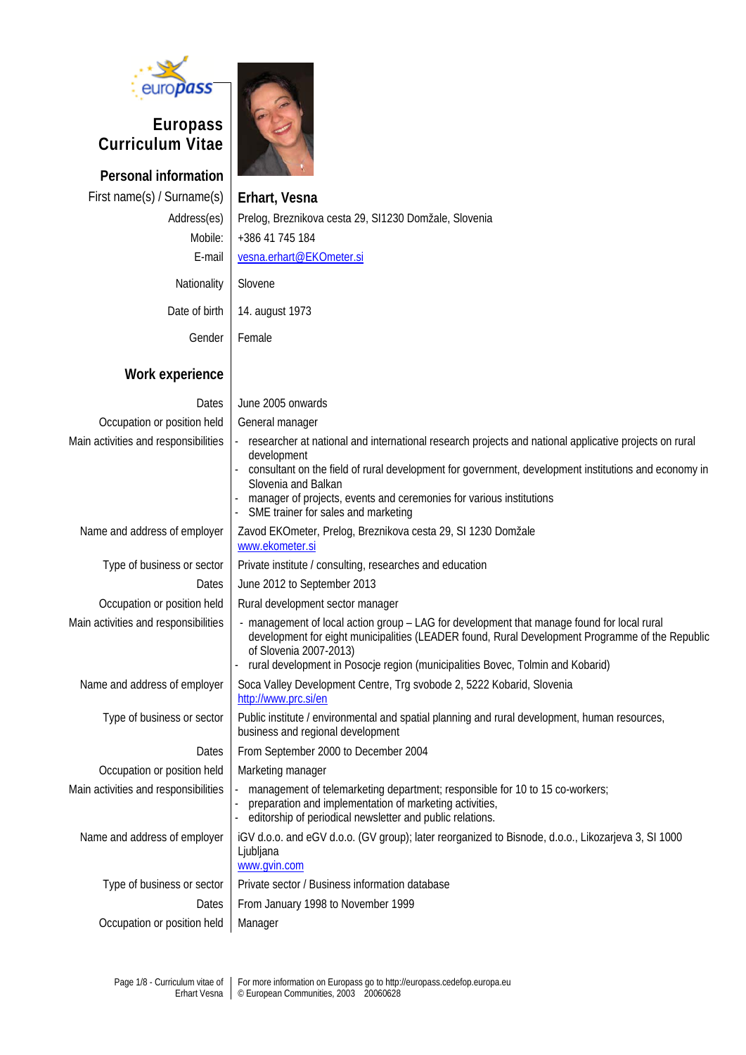

# **Europass Curriculum Vitae**

**Personal information** First name(s) / Surname(s) **Erhart, Vesna Work experience**

Address(es) Prelog, Breznikova cesta 29, SI1230 Domžale, Slovenia Mobile: +386 41 745 184 E-mail [vesna.erhart@EKOmeter.si](mailto:vesna.erhart@EKOmeter.si)

| Nationality   Slovene |                                 |
|-----------------------|---------------------------------|
|                       | Date of birth   14. august 1973 |

Gender Female

| Dates                                | June 2005 onwards                                                                                                                                                                                                                                                                                                                                                 |
|--------------------------------------|-------------------------------------------------------------------------------------------------------------------------------------------------------------------------------------------------------------------------------------------------------------------------------------------------------------------------------------------------------------------|
| Occupation or position held          | General manager                                                                                                                                                                                                                                                                                                                                                   |
| Main activities and responsibilities | researcher at national and international research projects and national applicative projects on rural<br>development<br>consultant on the field of rural development for government, development institutions and economy in<br>Slovenia and Balkan<br>manager of projects, events and ceremonies for various institutions<br>SME trainer for sales and marketing |
| Name and address of employer         | Zavod EKOmeter, Prelog, Breznikova cesta 29, SI 1230 Domžale<br>www.ekometer.si                                                                                                                                                                                                                                                                                   |
| Type of business or sector           | Private institute / consulting, researches and education                                                                                                                                                                                                                                                                                                          |
| Dates                                | June 2012 to September 2013                                                                                                                                                                                                                                                                                                                                       |
| Occupation or position held          | Rural development sector manager                                                                                                                                                                                                                                                                                                                                  |
| Main activities and responsibilities | - management of local action group - LAG for development that manage found for local rural<br>development for eight municipalities (LEADER found, Rural Development Programme of the Republic<br>of Slovenia 2007-2013)<br>rural development in Posocje region (municipalities Bovec, Tolmin and Kobarid)                                                         |
| Name and address of employer         | Soca Valley Development Centre, Trg svobode 2, 5222 Kobarid, Slovenia<br>http://www.prc.si/en                                                                                                                                                                                                                                                                     |
| Type of business or sector           | Public institute / environmental and spatial planning and rural development, human resources,<br>business and regional development                                                                                                                                                                                                                                |
| Dates                                | From September 2000 to December 2004                                                                                                                                                                                                                                                                                                                              |
| Occupation or position held          | Marketing manager                                                                                                                                                                                                                                                                                                                                                 |
| Main activities and responsibilities | management of telemarketing department; responsible for 10 to 15 co-workers;<br>preparation and implementation of marketing activities,<br>editorship of periodical newsletter and public relations.                                                                                                                                                              |
| Name and address of employer         | iGV d.o.o. and eGV d.o.o. (GV group); later reorganized to Bisnode, d.o.o., Likozarjeva 3, SI 1000<br>Ljubljana<br>www.gvin.com                                                                                                                                                                                                                                   |
| Type of business or sector           | Private sector / Business information database                                                                                                                                                                                                                                                                                                                    |
| Dates                                | From January 1998 to November 1999                                                                                                                                                                                                                                                                                                                                |
| Occupation or position held          | Manager                                                                                                                                                                                                                                                                                                                                                           |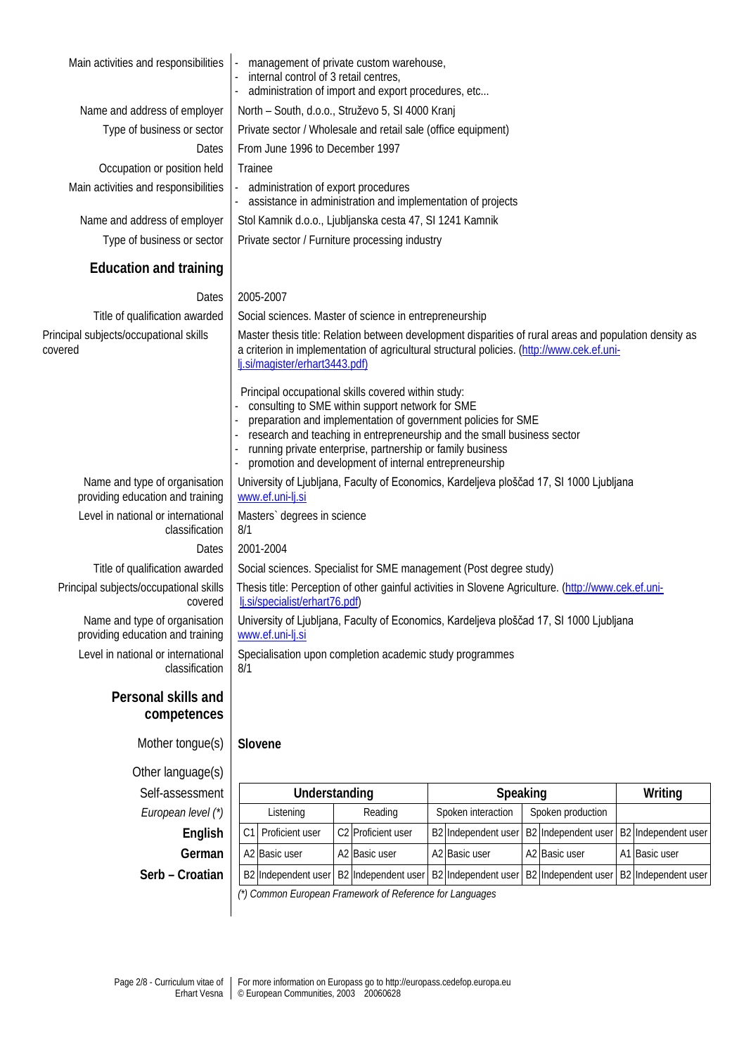| Main activities and responsibilities                              | management of private custom warehouse,<br>internal control of 3 retail centres,<br>administration of import and export procedures, etc                                                                                                |                                                                                                                                                                                                                                                                                                                      |  |                     |  |                                                                 |  |                     |
|-------------------------------------------------------------------|----------------------------------------------------------------------------------------------------------------------------------------------------------------------------------------------------------------------------------------|----------------------------------------------------------------------------------------------------------------------------------------------------------------------------------------------------------------------------------------------------------------------------------------------------------------------|--|---------------------|--|-----------------------------------------------------------------|--|---------------------|
| Name and address of employer                                      |                                                                                                                                                                                                                                        | North - South, d.o.o., Struževo 5, SI 4000 Kranj                                                                                                                                                                                                                                                                     |  |                     |  |                                                                 |  |                     |
| Type of business or sector                                        | Private sector / Wholesale and retail sale (office equipment)                                                                                                                                                                          |                                                                                                                                                                                                                                                                                                                      |  |                     |  |                                                                 |  |                     |
| Dates                                                             | From June 1996 to December 1997                                                                                                                                                                                                        |                                                                                                                                                                                                                                                                                                                      |  |                     |  |                                                                 |  |                     |
| Occupation or position held                                       | Trainee                                                                                                                                                                                                                                |                                                                                                                                                                                                                                                                                                                      |  |                     |  |                                                                 |  |                     |
| Main activities and responsibilities                              | administration of export procedures                                                                                                                                                                                                    | assistance in administration and implementation of projects                                                                                                                                                                                                                                                          |  |                     |  |                                                                 |  |                     |
| Name and address of employer                                      | Stol Kamnik d.o.o., Ljubljanska cesta 47, SI 1241 Kamnik                                                                                                                                                                               |                                                                                                                                                                                                                                                                                                                      |  |                     |  |                                                                 |  |                     |
| Type of business or sector                                        | Private sector / Furniture processing industry                                                                                                                                                                                         |                                                                                                                                                                                                                                                                                                                      |  |                     |  |                                                                 |  |                     |
| <b>Education and training</b>                                     |                                                                                                                                                                                                                                        |                                                                                                                                                                                                                                                                                                                      |  |                     |  |                                                                 |  |                     |
| Dates                                                             | 2005-2007                                                                                                                                                                                                                              |                                                                                                                                                                                                                                                                                                                      |  |                     |  |                                                                 |  |                     |
| Title of qualification awarded                                    | Social sciences. Master of science in entrepreneurship                                                                                                                                                                                 |                                                                                                                                                                                                                                                                                                                      |  |                     |  |                                                                 |  |                     |
| Principal subjects/occupational skills<br>covered                 | Master thesis title: Relation between development disparities of rural areas and population density as<br>a criterion in implementation of agricultural structural policies. (http://www.cek.ef.uni-<br>lj.si/magister/erhart3443.pdf) |                                                                                                                                                                                                                                                                                                                      |  |                     |  |                                                                 |  |                     |
|                                                                   | Principal occupational skills covered within study:                                                                                                                                                                                    | consulting to SME within support network for SME<br>preparation and implementation of government policies for SME<br>research and teaching in entrepreneurship and the small business sector<br>running private enterprise, partnership or family business<br>promotion and development of internal entrepreneurship |  |                     |  |                                                                 |  |                     |
| Name and type of organisation<br>providing education and training | University of Ljubljana, Faculty of Economics, Kardeljeva ploščad 17, SI 1000 Ljubljana<br>www.ef.uni-lj.si                                                                                                                            |                                                                                                                                                                                                                                                                                                                      |  |                     |  |                                                                 |  |                     |
| Level in national or international<br>classification              | Masters` degrees in science<br>8/1                                                                                                                                                                                                     |                                                                                                                                                                                                                                                                                                                      |  |                     |  |                                                                 |  |                     |
| Dates                                                             | 2001-2004                                                                                                                                                                                                                              |                                                                                                                                                                                                                                                                                                                      |  |                     |  |                                                                 |  |                     |
| Title of qualification awarded                                    | Social sciences. Specialist for SME management (Post degree study)                                                                                                                                                                     |                                                                                                                                                                                                                                                                                                                      |  |                     |  |                                                                 |  |                     |
| Principal subjects/occupational skills<br>covered                 | Thesis title: Perception of other gainful activities in Slovene Agriculture. (http://www.cek.ef.uni-<br>lj.si/specialist/erhart76.pdf)                                                                                                 |                                                                                                                                                                                                                                                                                                                      |  |                     |  |                                                                 |  |                     |
| Name and type of organisation<br>providing education and training | University of Ljubljana, Faculty of Economics, Kardeljeva ploščad 17, SI 1000 Ljubljana<br>www.ef.uni-lj.si                                                                                                                            |                                                                                                                                                                                                                                                                                                                      |  |                     |  |                                                                 |  |                     |
| Level in national or international<br>classification              | Specialisation upon completion academic study programmes<br>8/1                                                                                                                                                                        |                                                                                                                                                                                                                                                                                                                      |  |                     |  |                                                                 |  |                     |
| Personal skills and<br>competences                                |                                                                                                                                                                                                                                        |                                                                                                                                                                                                                                                                                                                      |  |                     |  |                                                                 |  |                     |
| Mother tongue(s)                                                  | Slovene                                                                                                                                                                                                                                |                                                                                                                                                                                                                                                                                                                      |  |                     |  |                                                                 |  |                     |
| Other language(s)                                                 |                                                                                                                                                                                                                                        |                                                                                                                                                                                                                                                                                                                      |  |                     |  |                                                                 |  |                     |
| Self-assessment                                                   | Understanding                                                                                                                                                                                                                          |                                                                                                                                                                                                                                                                                                                      |  | Speaking            |  |                                                                 |  | Writing             |
| European level (*)                                                | Listening                                                                                                                                                                                                                              | Reading                                                                                                                                                                                                                                                                                                              |  | Spoken interaction  |  | Spoken production                                               |  |                     |
| English                                                           | Proficient user<br>C <sub>1</sub>                                                                                                                                                                                                      | C2 Proficient user                                                                                                                                                                                                                                                                                                   |  | B2 Independent user |  | B2 Independent user                                             |  | B2 Independent user |
| German                                                            | A2 Basic user                                                                                                                                                                                                                          | A2 Basic user                                                                                                                                                                                                                                                                                                        |  | A2 Basic user       |  | A2 Basic user                                                   |  | A1 Basic user       |
| Serb - Croatian                                                   |                                                                                                                                                                                                                                        | B2 Independent user   B2 Independent user                                                                                                                                                                                                                                                                            |  |                     |  | B2 Independent user   B2 Independent user   B2 Independent user |  |                     |

*(\*) Common European Framework of Reference for Languages*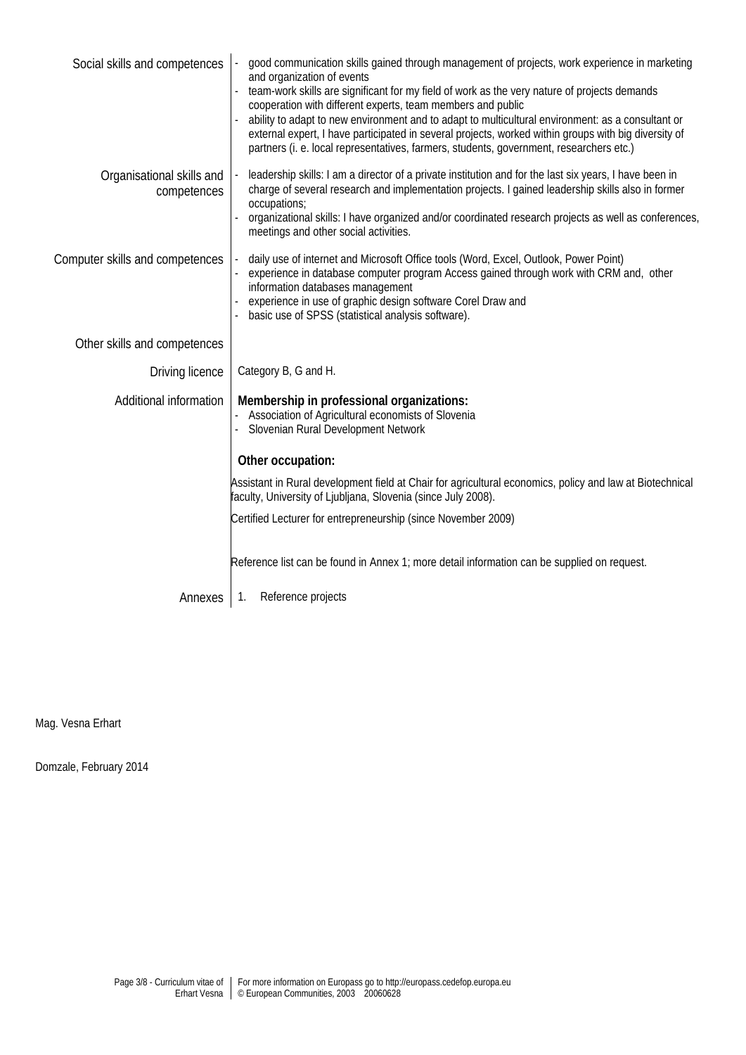| Social skills and competences            | good communication skills gained through management of projects, work experience in marketing<br>and organization of events<br>team-work skills are significant for my field of work as the very nature of projects demands<br>cooperation with different experts, team members and public<br>ability to adapt to new environment and to adapt to multicultural environment: as a consultant or<br>external expert, I have participated in several projects, worked within groups with big diversity of<br>partners (i. e. local representatives, farmers, students, government, researchers etc.) |  |  |  |
|------------------------------------------|----------------------------------------------------------------------------------------------------------------------------------------------------------------------------------------------------------------------------------------------------------------------------------------------------------------------------------------------------------------------------------------------------------------------------------------------------------------------------------------------------------------------------------------------------------------------------------------------------|--|--|--|
| Organisational skills and<br>competences | leadership skills: I am a director of a private institution and for the last six years, I have been in<br>charge of several research and implementation projects. I gained leadership skills also in former<br>occupations;<br>organizational skills: I have organized and/or coordinated research projects as well as conferences,<br>meetings and other social activities.                                                                                                                                                                                                                       |  |  |  |
| Computer skills and competences          | daily use of internet and Microsoft Office tools (Word, Excel, Outlook, Power Point)<br>experience in database computer program Access gained through work with CRM and, other<br>information databases management<br>experience in use of graphic design software Corel Draw and<br>basic use of SPSS (statistical analysis software).                                                                                                                                                                                                                                                            |  |  |  |
| Other skills and competences             |                                                                                                                                                                                                                                                                                                                                                                                                                                                                                                                                                                                                    |  |  |  |
| Driving licence                          | Category B, G and H.                                                                                                                                                                                                                                                                                                                                                                                                                                                                                                                                                                               |  |  |  |
| Additional information                   | Membership in professional organizations:<br>Association of Agricultural economists of Slovenia<br>Slovenian Rural Development Network<br>Other occupation:                                                                                                                                                                                                                                                                                                                                                                                                                                        |  |  |  |
|                                          | Assistant in Rural development field at Chair for agricultural economics, policy and law at Biotechnical<br>faculty, University of Ljubljana, Slovenia (since July 2008).                                                                                                                                                                                                                                                                                                                                                                                                                          |  |  |  |
|                                          | Certified Lecturer for entrepreneurship (since November 2009)                                                                                                                                                                                                                                                                                                                                                                                                                                                                                                                                      |  |  |  |
|                                          | Reference list can be found in Annex 1; more detail information can be supplied on request.                                                                                                                                                                                                                                                                                                                                                                                                                                                                                                        |  |  |  |
| Annexes                                  | Reference projects<br>1.                                                                                                                                                                                                                                                                                                                                                                                                                                                                                                                                                                           |  |  |  |

Mag. Vesna Erhart

Domzale, February 2014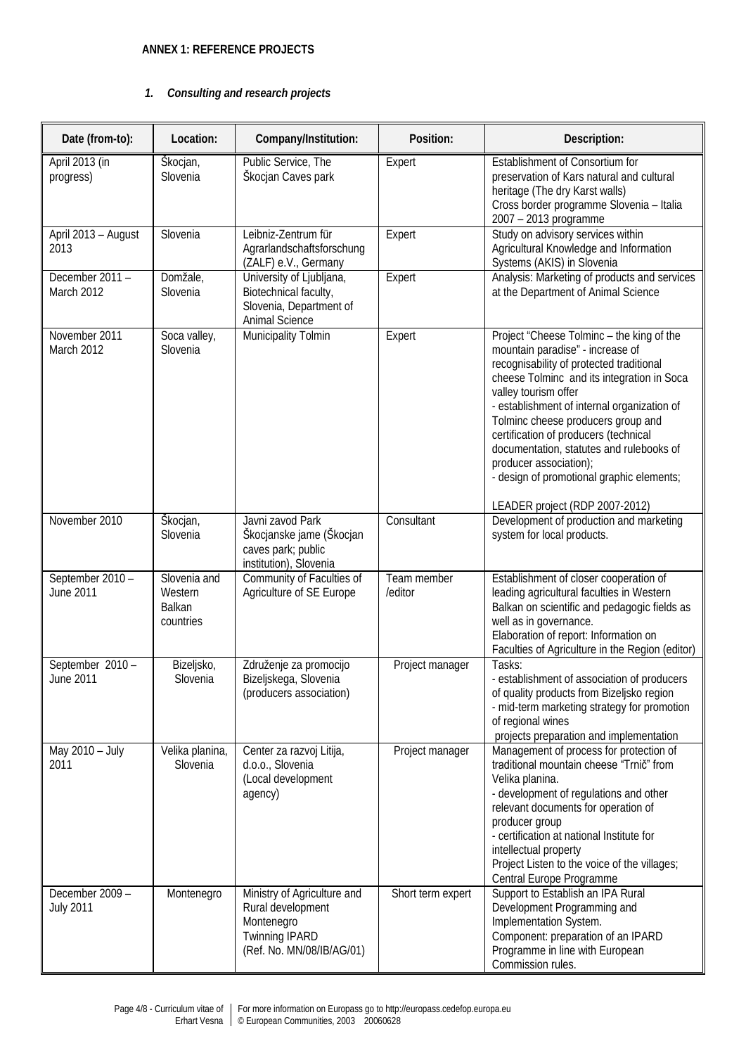### **ANNEX 1: REFERENCE PROJECTS**

#### *1. Consulting and research projects*

| Date (from-to):                      | Location:                                      | Company/Institution:                                                                                                 | Position:              | Description:                                                                                                                                                                                                                                                                                                                                                                                                                                                                       |
|--------------------------------------|------------------------------------------------|----------------------------------------------------------------------------------------------------------------------|------------------------|------------------------------------------------------------------------------------------------------------------------------------------------------------------------------------------------------------------------------------------------------------------------------------------------------------------------------------------------------------------------------------------------------------------------------------------------------------------------------------|
| April 2013 (in<br>progress)          | Škocjan,<br>Slovenia                           | Public Service, The<br>Škocjan Caves park                                                                            | Expert                 | Establishment of Consortium for<br>preservation of Kars natural and cultural<br>heritage (The dry Karst walls)<br>Cross border programme Slovenia - Italia<br>2007 - 2013 programme                                                                                                                                                                                                                                                                                                |
| April 2013 - August<br>2013          | Slovenia                                       | Leibniz-Zentrum für<br>Agrarlandschaftsforschung<br>(ZALF) e.V., Germany                                             | Expert                 | Study on advisory services within<br>Agricultural Knowledge and Information<br>Systems (AKIS) in Slovenia                                                                                                                                                                                                                                                                                                                                                                          |
| December 2011 -<br>March 2012        | Domžale,<br>Slovenia                           | University of Ljubljana,<br>Biotechnical faculty,<br>Slovenia, Department of<br>Animal Science                       | Expert                 | Analysis: Marketing of products and services<br>at the Department of Animal Science                                                                                                                                                                                                                                                                                                                                                                                                |
| November 2011<br>March 2012          | Soca valley,<br>Slovenia                       | Municipality Tolmin                                                                                                  | Expert                 | Project "Cheese Tolminc - the king of the<br>mountain paradise" - increase of<br>recognisability of protected traditional<br>cheese Tolminc and its integration in Soca<br>valley tourism offer<br>- establishment of internal organization of<br>Tolminc cheese producers group and<br>certification of producers (technical<br>documentation, statutes and rulebooks of<br>producer association);<br>- design of promotional graphic elements;<br>LEADER project (RDP 2007-2012) |
| November 2010                        | Škocjan,<br>Slovenia                           | Javni zavod Park<br>Škocjanske jame (Škocjan<br>caves park; public<br>institution), Slovenia                         | Consultant             | Development of production and marketing<br>system for local products.                                                                                                                                                                                                                                                                                                                                                                                                              |
| September 2010 -<br><b>June 2011</b> | Slovenia and<br>Western<br>Balkan<br>countries | Community of Faculties of<br>Agriculture of SE Europe                                                                | Team member<br>/editor | Establishment of closer cooperation of<br>leading agricultural faculties in Western<br>Balkan on scientific and pedagogic fields as<br>well as in governance.<br>Elaboration of report: Information on<br>Faculties of Agriculture in the Region (editor)                                                                                                                                                                                                                          |
| September 2010 -<br>June 2011        | Bizeljsko,<br>Slovenia                         | Združenje za promocijo<br>Bizeljskega, Slovenia<br>(producers association)                                           | Project manager        | Tasks:<br>- establishment of association of producers<br>of quality products from Bizeljsko region<br>- mid-term marketing strategy for promotion<br>of regional wines<br>projects preparation and implementation                                                                                                                                                                                                                                                                  |
| May 2010 - July<br>2011              | Velika planina,<br>Slovenia                    | Center za razvoj Litija,<br>d.o.o., Slovenia<br>(Local development<br>agency)                                        | Project manager        | Management of process for protection of<br>traditional mountain cheese "Trnič" from<br>Velika planina.<br>- development of regulations and other<br>relevant documents for operation of<br>producer group<br>- certification at national Institute for<br>intellectual property<br>Project Listen to the voice of the villages;<br>Central Europe Programme                                                                                                                        |
| December 2009 -<br><b>July 2011</b>  | Montenegro                                     | Ministry of Agriculture and<br>Rural development<br>Montenegro<br><b>Twinning IPARD</b><br>(Ref. No. MN/08/IB/AG/01) | Short term expert      | Support to Establish an IPA Rural<br>Development Programming and<br>Implementation System.<br>Component: preparation of an IPARD<br>Programme in line with European<br>Commission rules.                                                                                                                                                                                                                                                                                           |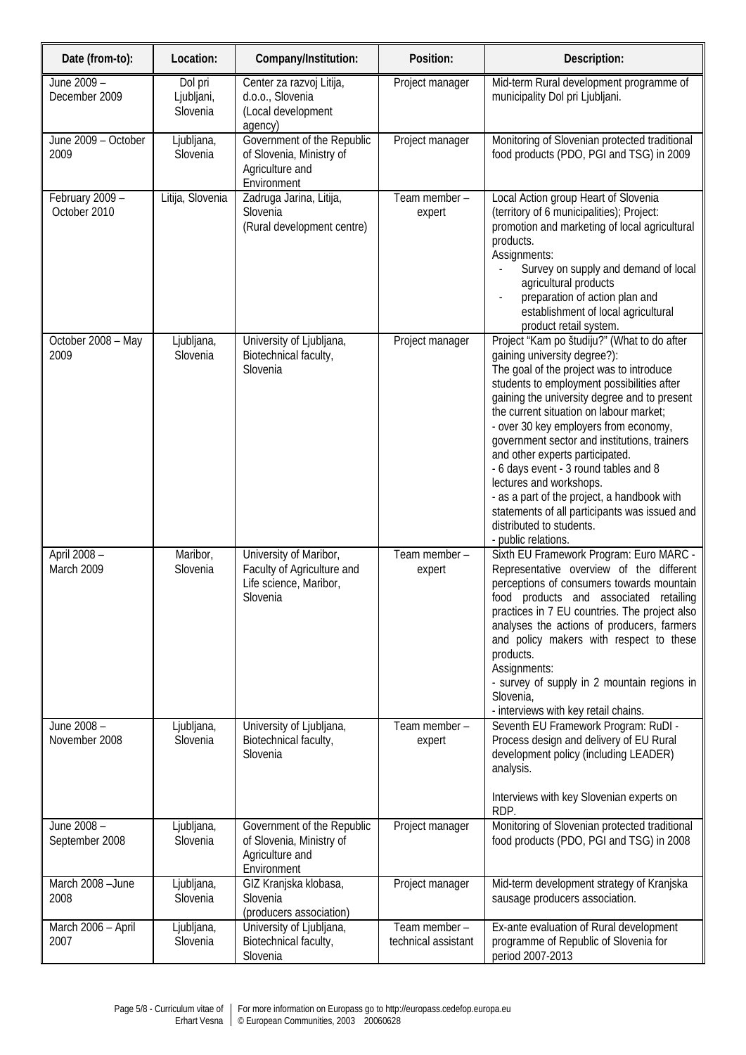| Date (from-to):                 | Location:                         | Company/Institution:                                                                       | Position:                            | Description:                                                                                                                                                                                                                                                                                                                                                                                                                                                                                                                                                                                                        |
|---------------------------------|-----------------------------------|--------------------------------------------------------------------------------------------|--------------------------------------|---------------------------------------------------------------------------------------------------------------------------------------------------------------------------------------------------------------------------------------------------------------------------------------------------------------------------------------------------------------------------------------------------------------------------------------------------------------------------------------------------------------------------------------------------------------------------------------------------------------------|
| June 2009 -<br>December 2009    | Dol pri<br>Ljubljani,<br>Slovenia | Center za razvoj Litija,<br>d.o.o., Slovenia<br>(Local development<br>agency)              | Project manager                      | Mid-term Rural development programme of<br>municipality Dol pri Ljubljani.                                                                                                                                                                                                                                                                                                                                                                                                                                                                                                                                          |
| June 2009 - October<br>2009     | Ljubljana,<br>Slovenia            | Government of the Republic<br>of Slovenia, Ministry of<br>Agriculture and<br>Environment   | Project manager                      | Monitoring of Slovenian protected traditional<br>food products (PDO, PGI and TSG) in 2009                                                                                                                                                                                                                                                                                                                                                                                                                                                                                                                           |
| February 2009 -<br>October 2010 | Litija, Slovenia                  | Zadruga Jarina, Litija,<br>Slovenia<br>(Rural development centre)                          | Team member -<br>expert              | Local Action group Heart of Slovenia<br>(territory of 6 municipalities); Project:<br>promotion and marketing of local agricultural<br>products.<br>Assignments:<br>Survey on supply and demand of local<br>agricultural products<br>preparation of action plan and<br>establishment of local agricultural<br>product retail system.                                                                                                                                                                                                                                                                                 |
| October 2008 - May<br>2009      | Ljubljana,<br>Slovenia            | University of Ljubljana,<br>Biotechnical faculty,<br>Slovenia                              | Project manager                      | Project "Kam po študiju?" (What to do after<br>gaining university degree?):<br>The goal of the project was to introduce<br>students to employment possibilities after<br>gaining the university degree and to present<br>the current situation on labour market;<br>- over 30 key employers from economy,<br>government sector and institutions, trainers<br>and other experts participated.<br>- 6 days event - 3 round tables and 8<br>lectures and workshops.<br>- as a part of the project, a handbook with<br>statements of all participants was issued and<br>distributed to students.<br>- public relations. |
| April 2008 -<br>March 2009      | Maribor,<br>Slovenia              | University of Maribor,<br>Faculty of Agriculture and<br>Life science, Maribor,<br>Slovenia | Team member -<br>expert              | Sixth EU Framework Program: Euro MARC -<br>Representative overview of the different<br>perceptions of consumers towards mountain<br>food products and associated retailing<br>practices in 7 EU countries. The project also<br>analyses the actions of producers, farmers<br>and policy makers with respect to these<br>products.<br>Assignments:<br>- survey of supply in 2 mountain regions in<br>Slovenia,<br>- interviews with key retail chains.                                                                                                                                                               |
| June 2008 -<br>November 2008    | Ljubljana,<br>Slovenia            | University of Ljubljana,<br>Biotechnical faculty,<br>Slovenia                              | Team member -<br>expert              | Seventh EU Framework Program: RuDI -<br>Process design and delivery of EU Rural<br>development policy (including LEADER)<br>analysis.<br>Interviews with key Slovenian experts on<br>RDP.                                                                                                                                                                                                                                                                                                                                                                                                                           |
| June 2008 -<br>September 2008   | Ljubljana,<br>Slovenia            | Government of the Republic<br>of Slovenia, Ministry of<br>Agriculture and<br>Environment   | Project manager                      | Monitoring of Slovenian protected traditional<br>food products (PDO, PGI and TSG) in 2008                                                                                                                                                                                                                                                                                                                                                                                                                                                                                                                           |
| March 2008 - June<br>2008       | Ljubljana,<br>Slovenia            | GIZ Kranjska klobasa,<br>Slovenia<br>(producers association)                               | Project manager                      | Mid-term development strategy of Kranjska<br>sausage producers association.                                                                                                                                                                                                                                                                                                                                                                                                                                                                                                                                         |
| March 2006 - April<br>2007      | Ljubljana,<br>Slovenia            | University of Ljubljana,<br>Biotechnical faculty,<br>Slovenia                              | Team member -<br>technical assistant | Ex-ante evaluation of Rural development<br>programme of Republic of Slovenia for<br>period 2007-2013                                                                                                                                                                                                                                                                                                                                                                                                                                                                                                                |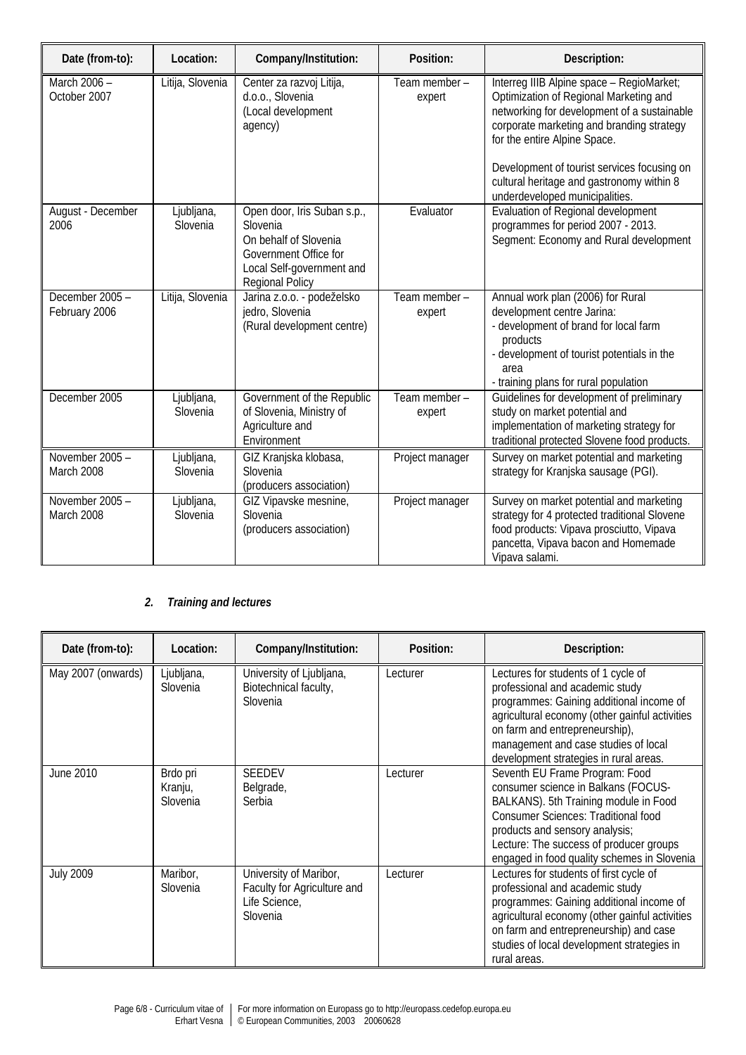| Date (from-to):                  | Location:              | Company/Institution:                                                                                                                             | Position:               | Description:                                                                                                                                                                                                                                                                                                                                  |
|----------------------------------|------------------------|--------------------------------------------------------------------------------------------------------------------------------------------------|-------------------------|-----------------------------------------------------------------------------------------------------------------------------------------------------------------------------------------------------------------------------------------------------------------------------------------------------------------------------------------------|
| March 2006 -<br>October 2007     | Litija, Slovenia       | Center za razvoj Litija,<br>d.o.o., Slovenia<br>(Local development<br>agency)                                                                    | Team member -<br>expert | Interreg IIIB Alpine space - RegioMarket;<br>Optimization of Regional Marketing and<br>networking for development of a sustainable<br>corporate marketing and branding strategy<br>for the entire Alpine Space.<br>Development of tourist services focusing on<br>cultural heritage and gastronomy within 8<br>underdeveloped municipalities. |
| August - December<br>2006        | Ljubljana,<br>Slovenia | Open door, Iris Suban s.p.,<br>Slovenia<br>On behalf of Slovenia<br>Government Office for<br>Local Self-government and<br><b>Regional Policy</b> | Evaluator               | Evaluation of Regional development<br>programmes for period 2007 - 2013.<br>Segment: Economy and Rural development                                                                                                                                                                                                                            |
| December 2005 -<br>February 2006 | Litija, Slovenia       | Jarina z.o.o. - podeželsko<br>jedro, Slovenia<br>(Rural development centre)                                                                      | Team member -<br>expert | Annual work plan (2006) for Rural<br>development centre Jarina:<br>- development of brand for local farm<br>products<br>- development of tourist potentials in the<br>area<br>- training plans for rural population                                                                                                                           |
| December 2005                    | Ljubljana,<br>Slovenia | Government of the Republic<br>of Slovenia, Ministry of<br>Agriculture and<br>Environment                                                         | Team member -<br>expert | Guidelines for development of preliminary<br>study on market potential and<br>implementation of marketing strategy for<br>traditional protected Slovene food products.                                                                                                                                                                        |
| November 2005 -<br>March 2008    | Ljubljana,<br>Slovenia | GIZ Kranjska klobasa,<br>Slovenia<br>(producers association)                                                                                     | Project manager         | Survey on market potential and marketing<br>strategy for Kranjska sausage (PGI).                                                                                                                                                                                                                                                              |
| November 2005 -<br>March 2008    | Ljubljana,<br>Slovenia | GIZ Vipavske mesnine,<br>Slovenia<br>(producers association)                                                                                     | Project manager         | Survey on market potential and marketing<br>strategy for 4 protected traditional Slovene<br>food products: Vipava prosciutto, Vipava<br>pancetta, Vipava bacon and Homemade<br>Vipava salami.                                                                                                                                                 |

### *2. Training and lectures*

| Date (from-to):    | Location:                       | Company/Institution:                                                               | Position: | Description:                                                                                                                                                                                                                                                                             |
|--------------------|---------------------------------|------------------------------------------------------------------------------------|-----------|------------------------------------------------------------------------------------------------------------------------------------------------------------------------------------------------------------------------------------------------------------------------------------------|
| May 2007 (onwards) | Ljubljana,<br>Slovenia          | University of Ljubljana,<br>Biotechnical faculty,<br>Slovenia                      | Lecturer  | Lectures for students of 1 cycle of<br>professional and academic study<br>programmes: Gaining additional income of<br>agricultural economy (other gainful activities<br>on farm and entrepreneurship),<br>management and case studies of local<br>development strategies in rural areas. |
| June 2010          | Brdo pri<br>Kranju,<br>Slovenia | <b>SEEDEV</b><br>Belgrade,<br>Serbia                                               | Lecturer  | Seventh EU Frame Program: Food<br>consumer science in Balkans (FOCUS-<br>BALKANS). 5th Training module in Food<br><b>Consumer Sciences: Traditional food</b><br>products and sensory analysis;<br>Lecture: The success of producer groups<br>engaged in food quality schemes in Slovenia |
| <b>July 2009</b>   | Maribor,<br>Slovenia            | University of Maribor,<br>Faculty for Agriculture and<br>Life Science,<br>Slovenia | Lecturer  | Lectures for students of first cycle of<br>professional and academic study<br>programmes: Gaining additional income of<br>agricultural economy (other gainful activities<br>on farm and entrepreneurship) and case<br>studies of local development strategies in<br>rural areas.         |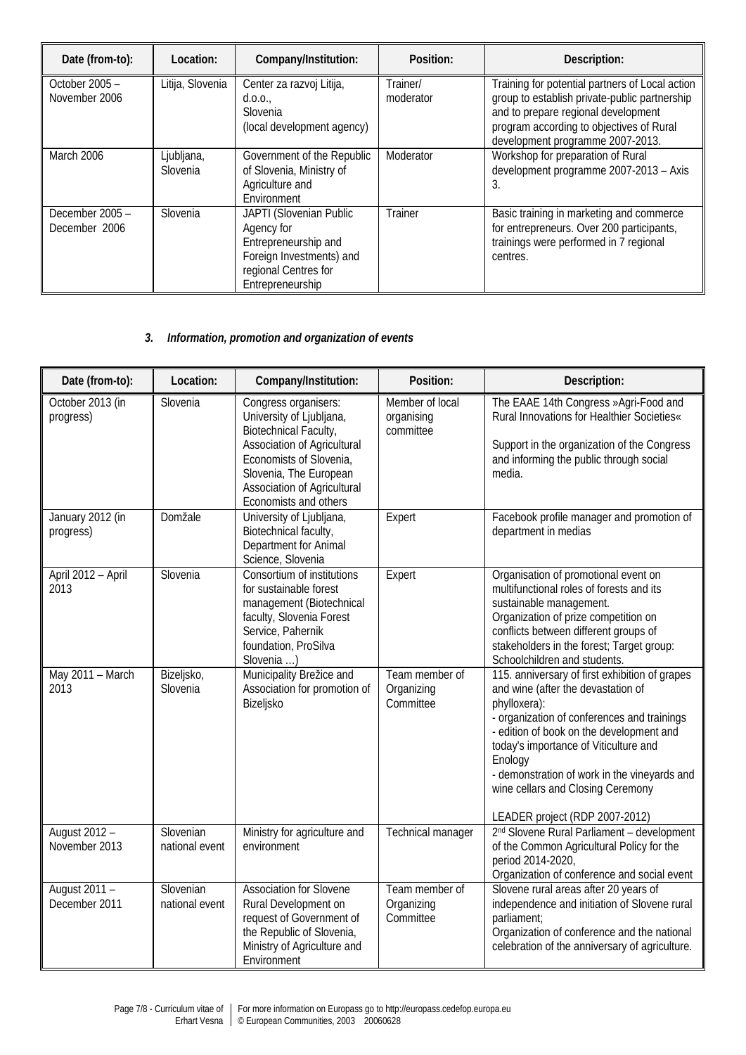| Date (from-to):                  | Location:              | Company/Institution:                                                                                                                  | Position:             | Description:                                                                                                                                                                                                            |
|----------------------------------|------------------------|---------------------------------------------------------------------------------------------------------------------------------------|-----------------------|-------------------------------------------------------------------------------------------------------------------------------------------------------------------------------------------------------------------------|
| October 2005 -<br>November 2006  | Litija, Slovenia       | Center za razvoj Litija,<br>d.0.0.,<br>Slovenia<br>(local development agency)                                                         | Trainer/<br>moderator | Training for potential partners of Local action<br>group to establish private-public partnership<br>and to prepare regional development<br>program according to objectives of Rural<br>development programme 2007-2013. |
| March 2006                       | Ljubljana,<br>Slovenia | Government of the Republic<br>of Slovenia, Ministry of<br>Agriculture and<br>Environment                                              | Moderator             | Workshop for preparation of Rural<br>development programme 2007-2013 - Axis<br>3.                                                                                                                                       |
| December 2005 -<br>December 2006 | Slovenia               | JAPTI (Slovenian Public<br>Agency for<br>Entrepreneurship and<br>Foreign Investments) and<br>regional Centres for<br>Entrepreneurship | Trainer               | Basic training in marketing and commerce<br>for entrepreneurs. Over 200 participants,<br>trainings were performed in 7 regional<br>centres.                                                                             |

## *3. Information, promotion and organization of events*

| Date (from-to):                | Location:                   | Company/Institution:                                                                                                                                                                                                  | Position:                                  | Description:                                                                                                                                                                                                                                                                                                                                                               |
|--------------------------------|-----------------------------|-----------------------------------------------------------------------------------------------------------------------------------------------------------------------------------------------------------------------|--------------------------------------------|----------------------------------------------------------------------------------------------------------------------------------------------------------------------------------------------------------------------------------------------------------------------------------------------------------------------------------------------------------------------------|
| October 2013 (in<br>progress)  | Slovenia                    | Congress organisers:<br>University of Ljubljana,<br>Biotechnical Faculty,<br>Association of Agricultural<br>Economists of Slovenia,<br>Slovenia, The European<br>Association of Agricultural<br>Economists and others | Member of local<br>organising<br>committee | The EAAE 14th Congress »Agri-Food and<br>Rural Innovations for Healthier Societies«<br>Support in the organization of the Congress<br>and informing the public through social<br>media.                                                                                                                                                                                    |
| January 2012 (in<br>progress)  | Domžale                     | University of Ljubljana,<br>Biotechnical faculty,<br>Department for Animal<br>Science, Slovenia                                                                                                                       | Expert                                     | Facebook profile manager and promotion of<br>department in medias                                                                                                                                                                                                                                                                                                          |
| April 2012 - April<br>2013     | Slovenia                    | Consortium of institutions<br>for sustainable forest<br>management (Biotechnical<br>faculty, Slovenia Forest<br>Service, Pahernik<br>foundation, ProSilva<br>Slovenia )                                               | Expert                                     | Organisation of promotional event on<br>multifunctional roles of forests and its<br>sustainable management.<br>Organization of prize competition on<br>conflicts between different groups of<br>stakeholders in the forest; Target group:<br>Schoolchildren and students.                                                                                                  |
| May 2011 - March<br>2013       | Bizeljsko,<br>Slovenia      | Municipality Brežice and<br>Association for promotion of<br>Bizeljsko                                                                                                                                                 | Team member of<br>Organizing<br>Committee  | 115. anniversary of first exhibition of grapes<br>and wine (after the devastation of<br>phylloxera):<br>- organization of conferences and trainings<br>- edition of book on the development and<br>today's importance of Viticulture and<br>Enology<br>- demonstration of work in the vineyards and<br>wine cellars and Closing Ceremony<br>LEADER project (RDP 2007-2012) |
| August 2012 -<br>November 2013 | Slovenian<br>national event | Ministry for agriculture and<br>environment                                                                                                                                                                           | Technical manager                          | 2 <sup>nd</sup> Slovene Rural Parliament - development<br>of the Common Agricultural Policy for the<br>period 2014-2020,<br>Organization of conference and social event                                                                                                                                                                                                    |
| August 2011 -<br>December 2011 | Slovenian<br>national event | Association for Slovene<br>Rural Development on<br>request of Government of<br>the Republic of Slovenia,<br>Ministry of Agriculture and<br>Environment                                                                | Team member of<br>Organizing<br>Committee  | Slovene rural areas after 20 years of<br>independence and initiation of Slovene rural<br>parliament;<br>Organization of conference and the national<br>celebration of the anniversary of agriculture.                                                                                                                                                                      |